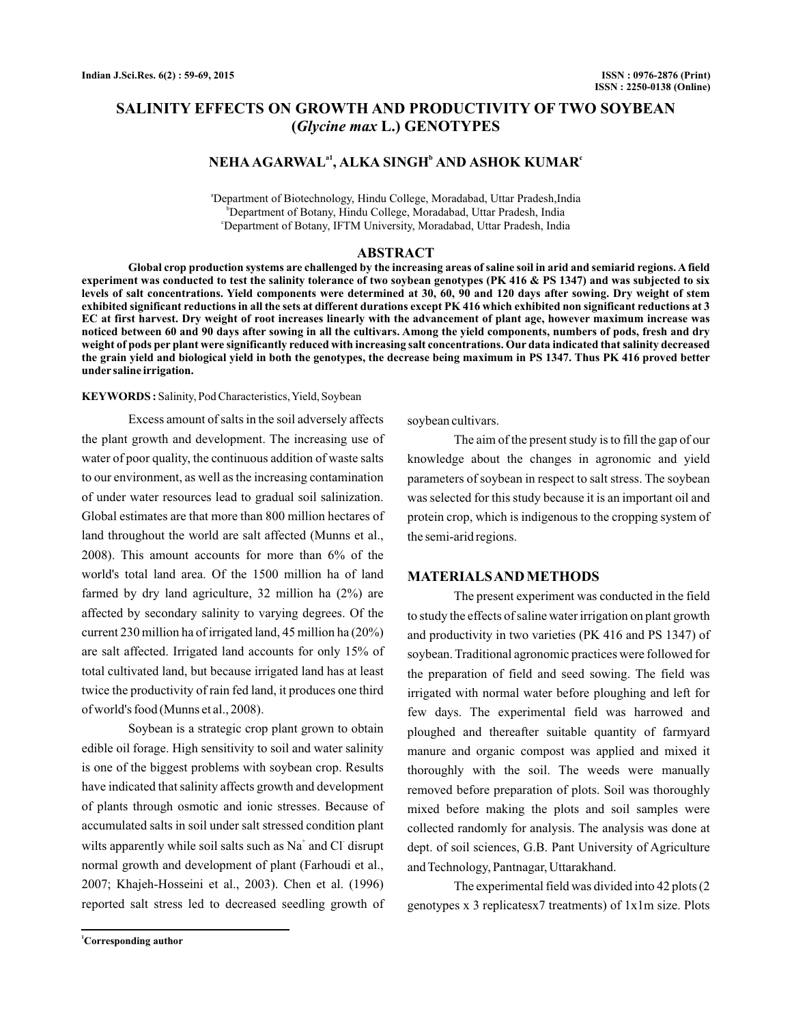# **SALINITY EFFECTS ON GROWTH AND PRODUCTIVITY OF TWO SOYBEAN ( L.) GENOTYPES** *Glycine max*

## NEHA AGARWAL<sup>a1</sup>, ALKA SINGH<sup>b</sup> AND ASHOK KUMAR<sup>e</sup>

a Department of Biotechnology, Hindu College, Moradabad, Uttar Pradesh,India b Department of Botany, Hindu College, Moradabad, Uttar Pradesh, India c Department of Botany, IFTM University, Moradabad, Uttar Pradesh, India

#### **ABSTRACT**

**Global crop production systems are challenged by the increasing areas of saline soil in arid and semiarid regions. A field experiment was conducted to test the salinity tolerance of two soybean genotypes (PK 416 & PS 1347) and was subjected to six levels of salt concentrations. Yield components were determined at 30, 60, 90 and 120 days after sowing. Dry weight of stem exhibited significant reductions in all the sets at different durations except PK 416 which exhibited non significant reductions at 3 EC at first harvest. Dry weight of root increases linearly with the advancement of plant age, however maximum increase was noticed between 60 and 90 days after sowing in all the cultivars. Among the yield components, numbers of pods, fresh and dry weight of pods per plant were significantly reduced with increasing salt concentrations. Our data indicated that salinity decreased the grain yield and biological yield in both the genotypes, the decrease being maximum in PS 1347. Thus PK 416 proved better under saline irrigation.**

#### **KEYWORDS :** Salinity, Pod Characteristics,Yield, Soybean

Excess amount of salts in the soil adversely affects the plant growth and development. The increasing use of water of poor quality, the continuous addition of waste salts to our environment, as well as the increasing contamination of under water resources lead to gradual soil salinization. Global estimates are that more than 800 million hectares of land throughout the world are salt affected (Munns et al., 2008). This amount accounts for more than 6% of the world's total land area. Of the 1500 million ha of land farmed by dry land agriculture, 32 million ha (2%) are affected by secondary salinity to varying degrees. Of the current 230 million ha of irrigated land, 45 million ha (20%) are salt affected. Irrigated land accounts for only 15% of total cultivated land, but because irrigated land has at least twice the productivity of rain fed land, it produces one third of world's food (Munns et al., 2008).

Soybean is a strategic crop plant grown to obtain edible oil forage. High sensitivity to soil and water salinity is one of the biggest problems with soybean crop. Results have indicated that salinity affects growth and development of plants through osmotic and ionic stresses. Because of accumulated salts in soil under salt stressed condition plant wilts apparently while soil salts such as  $Na<sup>+</sup>$  and Cl disrupt normal growth and development of plant (Farhoudi et al., 2007; Khajeh-Hosseini et al., 2003). Chen et al. (1996) reported salt stress led to decreased seedling growth of soybean cultivars.

The aim of the present study is to fill the gap of our knowledge about the changes in agronomic and yield parameters of soybean in respect to salt stress. The soybean was selected for this study because it is an important oil and protein crop, which is indigenous to the cropping system of the semi-arid regions.

### **MATERIALSAND METHODS**

The present experiment was conducted in the field to study the effects of saline water irrigation on plant growth and productivity in two varieties (PK 416 and PS 1347) of soybean. Traditional agronomic practices were followed for the preparation of field and seed sowing. The field was irrigated with normal water before ploughing and left for few days. The experimental field was harrowed and ploughed and thereafter suitable quantity of farmyard manure and organic compost was applied and mixed it thoroughly with the soil. The weeds were manually removed before preparation of plots. Soil was thoroughly mixed before making the plots and soil samples were collected randomly for analysis. The analysis was done at dept. of soil sciences, G.B. Pant University of Agriculture and Technology, Pantnagar, Uttarakhand.

The experimental field was divided into 42 plots (2 genotypes x 3 replicatesx7 treatments) of 1x1m size. Plots

**<sup>1</sup>Corresponding author**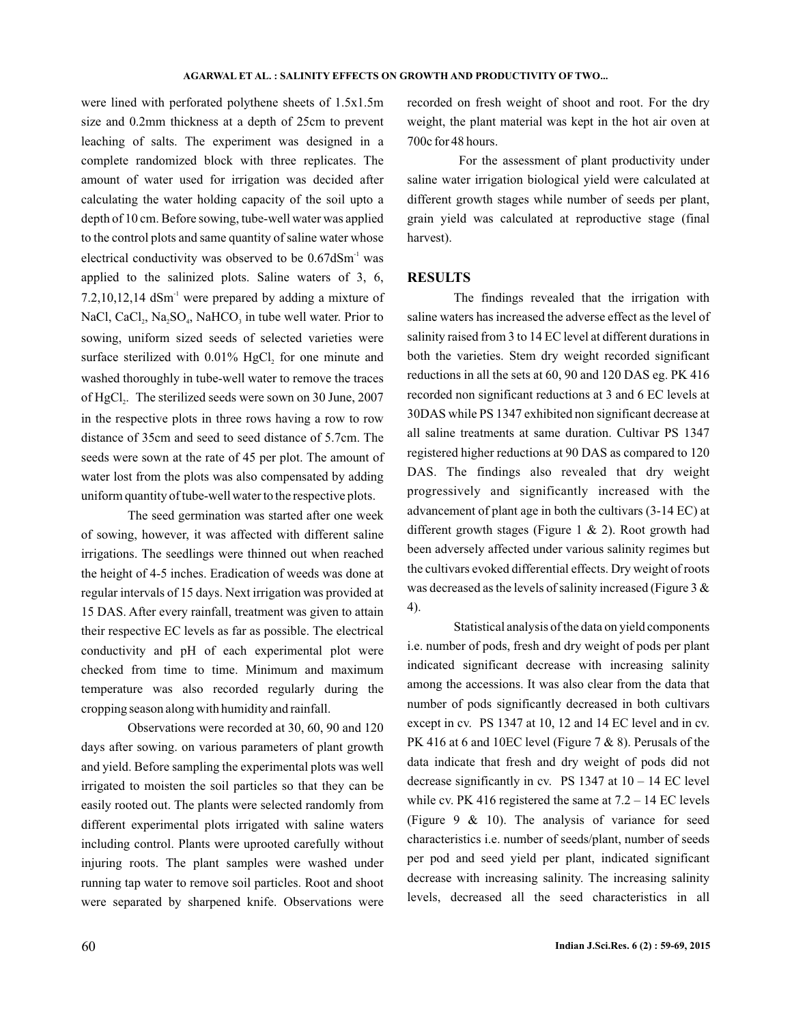were lined with perforated polythene sheets of 1.5x1.5m size and 0.2mm thickness at a depth of 25cm to prevent leaching of salts. The experiment was designed in a complete randomized block with three replicates. The amount of water used for irrigation was decided after calculating the water holding capacity of the soil upto a depth of 10 cm. Before sowing, tube-well water was applied to the control plots and same quantity of saline water whose electrical conductivity was observed to be  $0.67$ d $Sm^{-1}$  was applied to the salinized plots. Saline waters of 3, 6, 7.2,10,12,14  $dSm<sup>-1</sup>$  were prepared by adding a mixture of NaCl, CaCl<sub>2</sub>, Na<sub>2</sub>SO<sub>4</sub>, NaHCO<sub>3</sub> in tube well water. Prior to sowing, uniform sized seeds of selected varieties were surface sterilized with  $0.01\%$  HgCl<sub>2</sub> for one minute and washed thoroughly in tube-well water to remove the traces of HgCl<sub>2</sub>. The sterilized seeds were sown on 30 June, 2007 in the respective plots in three rows having a row to row distance of 35cm and seed to seed distance of 5.7cm. The seeds were sown at the rate of 45 per plot. The amount of water lost from the plots was also compensated by adding uniform quantity of tube-well water to the respective plots.

The seed germination was started after one week of sowing, however, it was affected with different saline irrigations. The seedlings were thinned out when reached the height of 4-5 inches. Eradication of weeds was done at regular intervals of 15 days. Next irrigation was provided at 15 DAS. After every rainfall, treatment was given to attain their respective EC levels as far as possible. The electrical conductivity and pH of each experimental plot were checked from time to time. Minimum and maximum temperature was also recorded regularly during the cropping season along with humidity and rainfall.

Observations were recorded at 30, 60, 90 and 120 days after sowing. on various parameters of plant growth and yield. Before sampling the experimental plots was well irrigated to moisten the soil particles so that they can be easily rooted out. The plants were selected randomly from different experimental plots irrigated with saline waters including control. Plants were uprooted carefully without injuring roots. The plant samples were washed under running tap water to remove soil particles. Root and shoot were separated by sharpened knife. Observations were

recorded on fresh weight of shoot and root. For the dry weight, the plant material was kept in the hot air oven at 700c for 48 hours.

For the assessment of plant productivity under saline water irrigation biological yield were calculated at different growth stages while number of seeds per plant, grain yield was calculated at reproductive stage (final harvest).

# **RESULTS**

The findings revealed that the irrigation with saline waters has increased the adverse effect as the level of salinity raised from 3 to 14 EC level at different durations in both the varieties. Stem dry weight recorded significant reductions in all the sets at 60, 90 and 120 DAS eg. PK 416 recorded non significant reductions at 3 and 6 EC levels at 30DAS while PS 1347 exhibited non significant decrease at all saline treatments at same duration. Cultivar PS 1347 registered higher reductions at 90 DAS as compared to 120 DAS. The findings also revealed that dry weight progressively and significantly increased with the advancement of plant age in both the cultivars (3-14 EC) at different growth stages (Figure 1 & 2). Root growth had been adversely affected under various salinity regimes but the cultivars evoked differential effects. Dry weight of roots was decreased as the levels of salinity increased (Figure 3 & 4).

Statistical analysis of the data on yield components i.e. number of pods, fresh and dry weight of pods per plant indicated significant decrease with increasing salinity among the accessions. It was also clear from the data that number of pods significantly decreased in both cultivars except in cv. PS 1347 at 10, 12 and 14 EC level and in cv. PK 416 at 6 and 10EC level (Figure 7 & 8). Perusals of the data indicate that fresh and dry weight of pods did not decrease significantly in cv. PS  $1347$  at  $10 - 14$  EC level while cv. PK 416 registered the same at  $7.2 - 14$  EC levels (Figure 9 & 10). The analysis of variance for seed characteristics i.e. number of seeds/plant, number of seeds per pod and seed yield per plant, indicated significant decrease with increasing salinity. The increasing salinity levels, decreased all the seed characteristics in all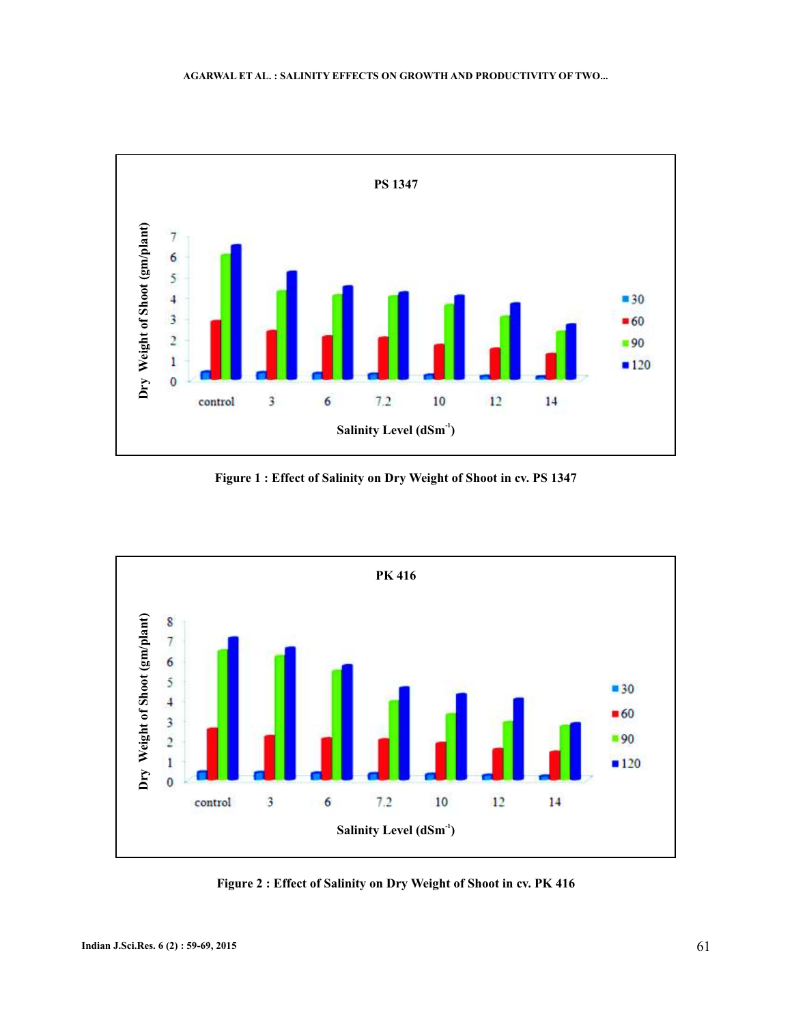

**Figure 1 : Effect of Salinity on Dry Weight of Shoot in cv. PS 1347**



**Figure 2 : Effect of Salinity on Dry Weight of Shoot in cv. PK 416**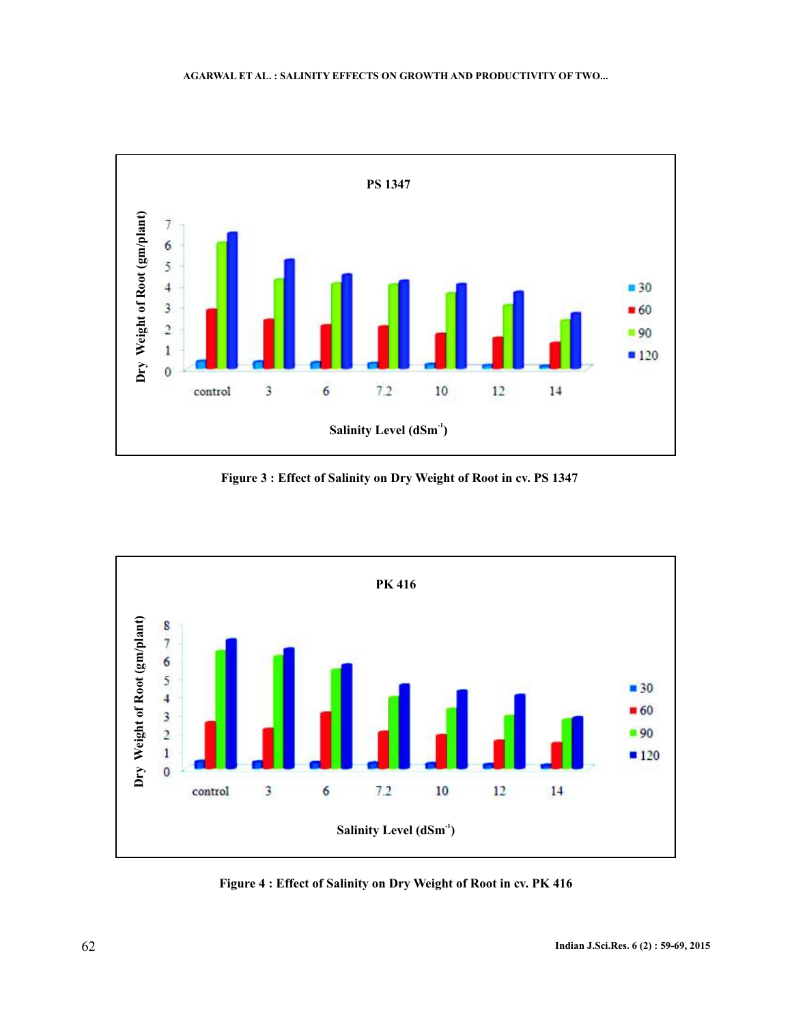

**Figure 3 : Effect of Salinity on Dry Weight of Root in cv. PS 1347**



**Figure 4 : Effect of Salinity on Dry Weight of Root in cv. PK 416**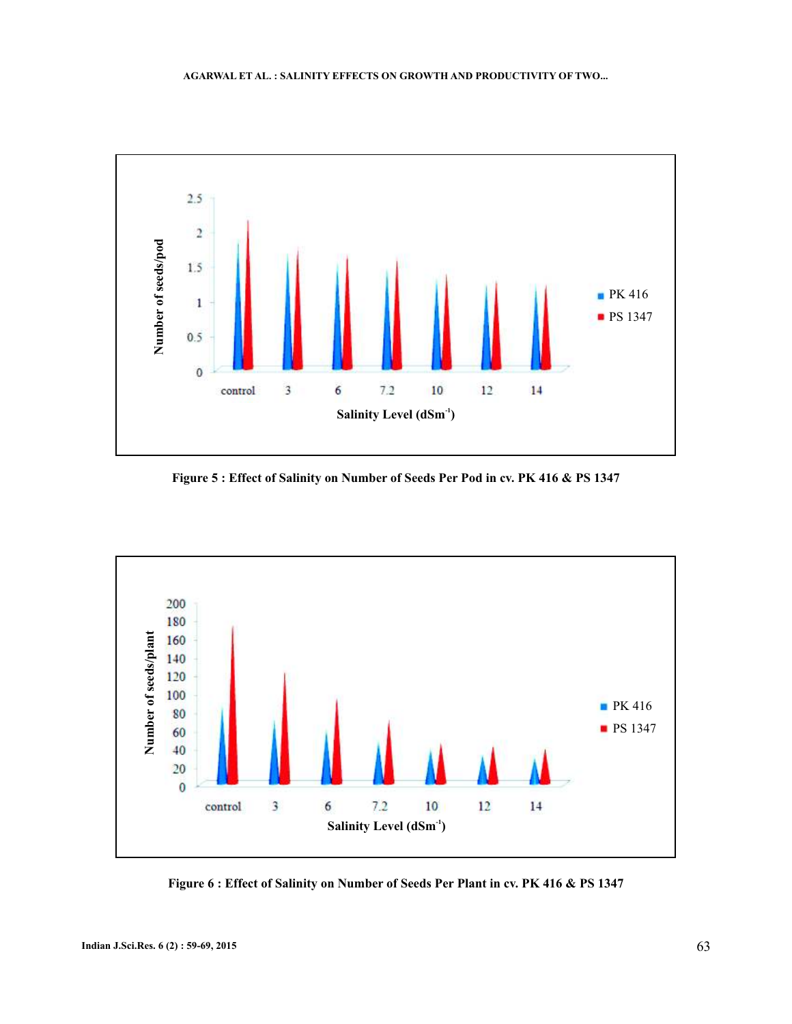

**Figure 5 : Effect of Salinity on Number of Seeds Per Pod in cv. PK 416 & PS 1347**



**Figure 6 : Effect of Salinity on Number of Seeds Per Plant in cv. PK 416 & PS 1347**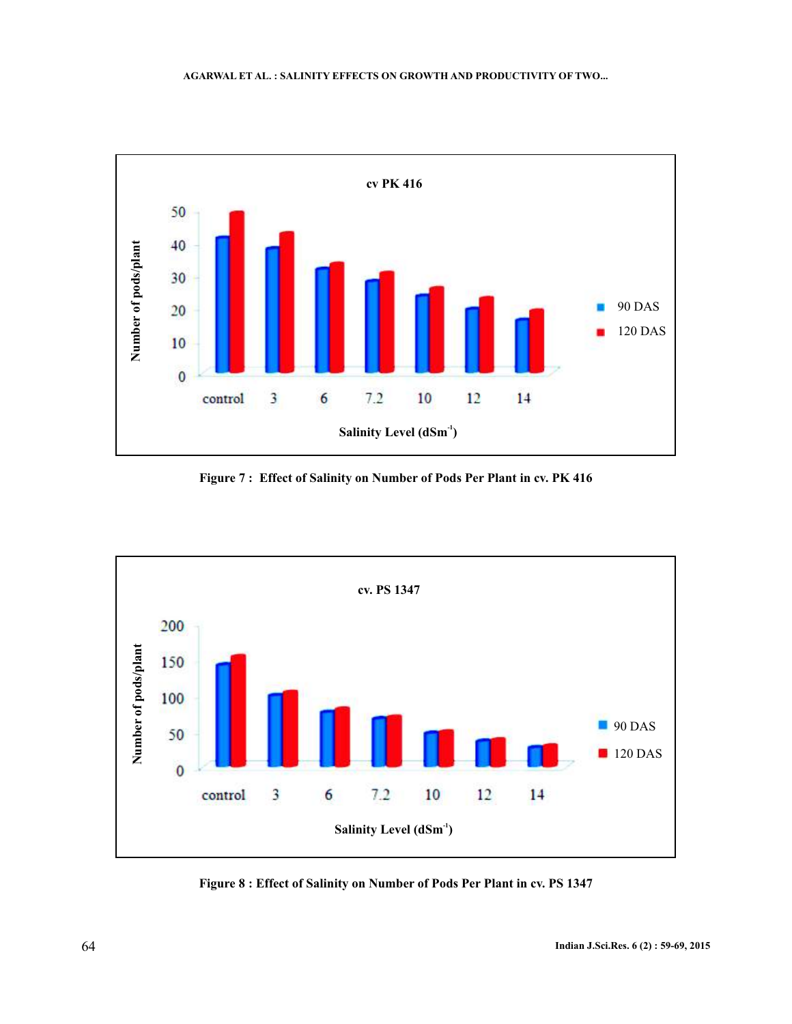

**Figure 7 : Effect of Salinity on Number of Pods Per Plant in cv. PK 416**



**Figure 8 : Effect of Salinity on Number of Pods Per Plant in cv. PS 1347**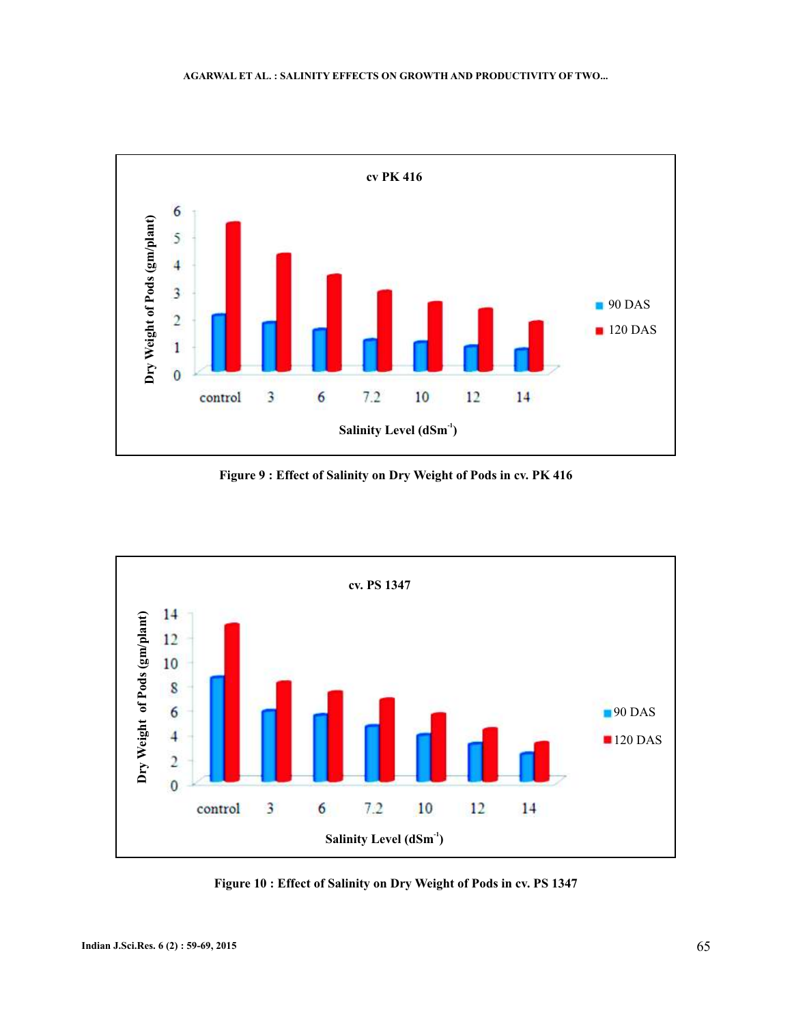

**Figure 9 : Effect of Salinity on Dry Weight of Pods in cv. PK 416**



**Figure 10 : Effect of Salinity on Dry Weight of Pods in cv. PS 1347**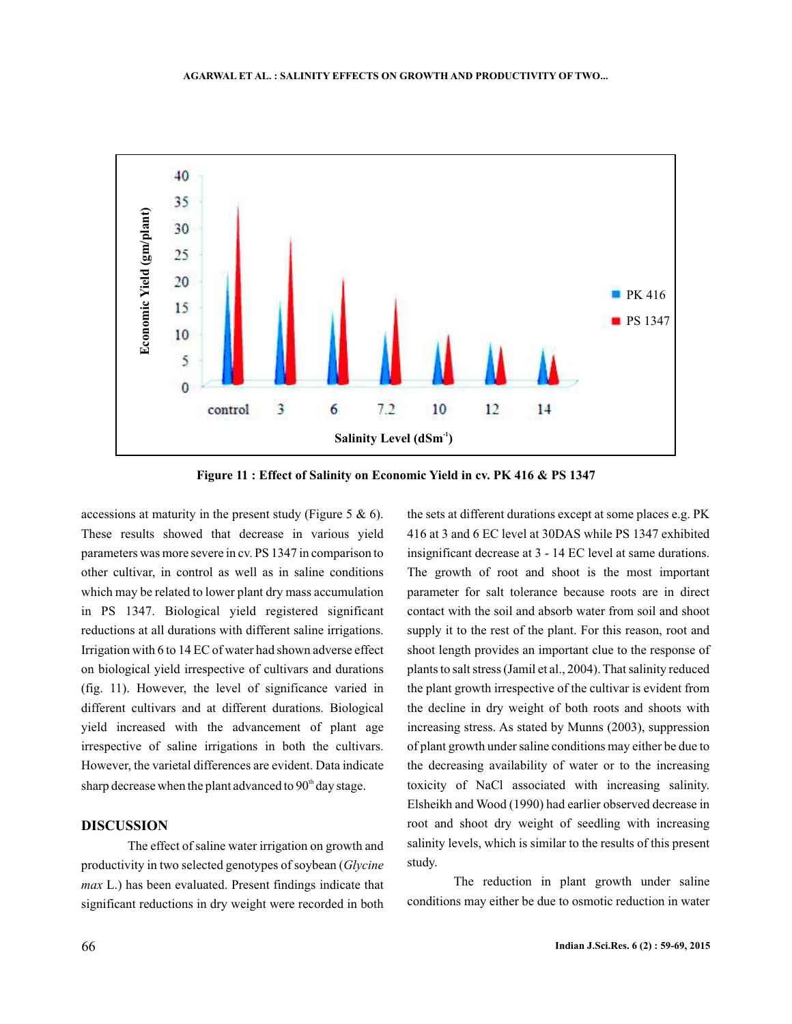

**Figure 11 : Effect of Salinity on Economic Yield in cv. PK 416 & PS 1347**

accessions at maturity in the present study (Figure 5 & 6). These results showed that decrease in various yield parameters was more severe in cv. PS 1347 in comparison to other cultivar, in control as well as in saline conditions which may be related to lower plant dry mass accumulation in PS 1347. Biological yield registered significant reductions at all durations with different saline irrigations. Irrigation with 6 to 14 EC of water had shown adverse effect on biological yield irrespective of cultivars and durations (fig. 11). However, the level of significance varied in different cultivars and at different durations. Biological yield increased with the advancement of plant age irrespective of saline irrigations in both the cultivars. However, the varietal differences are evident. Data indicate sharp decrease when the plant advanced to  $90<sup>th</sup>$  day stage.

# **DISCUSSION**

The effect of saline water irrigation on growth and productivity in two selected genotypes of soybean ( *Glycine* max L.) has been evaluated. Present findings indicate that significant reductions in dry weight were recorded in both the sets at different durations except at some places e.g. PK 416 at 3 and 6 EC level at 30DAS while PS 1347 exhibited insignificant decrease at 3 - 14 EC level at same durations. The growth of root and shoot is the most important parameter for salt tolerance because roots are in direct contact with the soil and absorb water from soil and shoot supply it to the rest of the plant. For this reason, root and shoot length provides an important clue to the response of plants to salt stress (Jamil et al., 2004). That salinity reduced the plant growth irrespective of the cultivar is evident from the decline in dry weight of both roots and shoots with increasing stress. As stated by Munns (2003), suppression of plant growth under saline conditions may either be due to the decreasing availability of water or to the increasing toxicity of NaCl associated with increasing salinity. Elsheikh and Wood (1990) had earlier observed decrease in root and shoot dry weight of seedling with increasing salinity levels, which is similar to the results of this present study.

The reduction in plant growth under saline conditions may either be due to osmotic reduction in water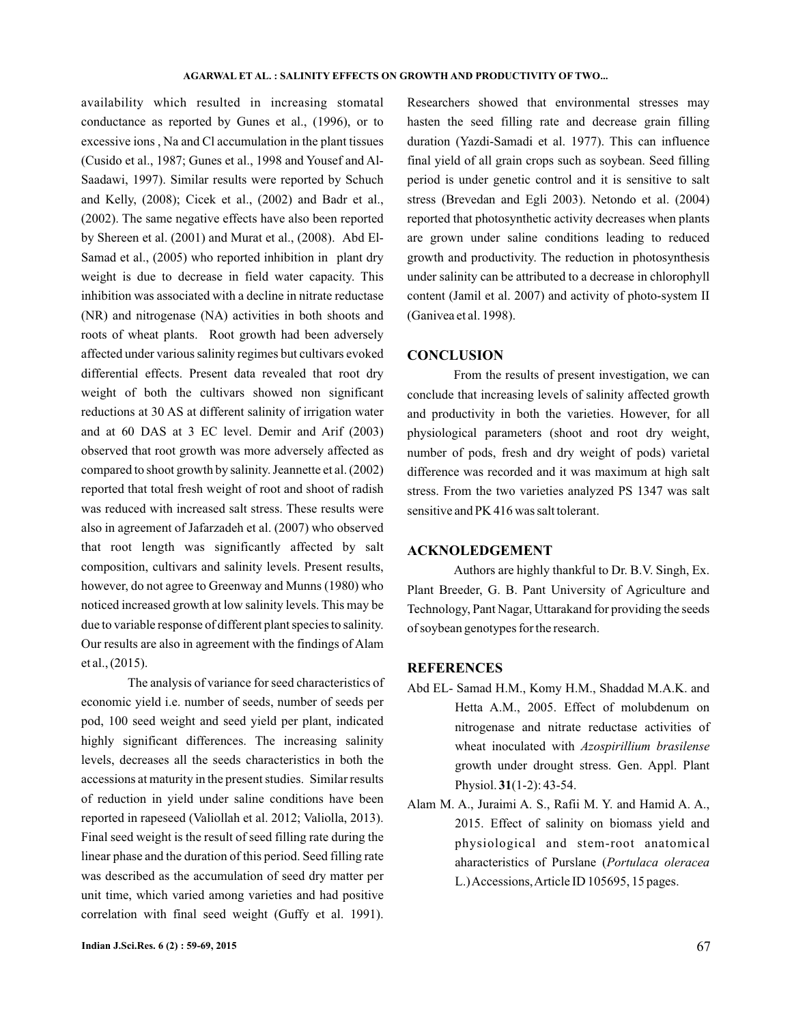availability which resulted in increasing stomatal conductance as reported by Gunes et al., (1996), or to excessive ions , Na and Cl accumulation in the plant tissues (Cusido et al., 1987; Gunes et al., 1998 and Yousef and Al-Saadawi, 1997). Similar results were reported by Schuch and Kelly, (2008); Cicek et al., (2002) and Badr et al., (2002). The same negative effects have also been reported by Shereen et al. (2001) and Murat et al., (2008). Abd El-Samad et al., (2005) who reported inhibition in plant dry weight is due to decrease in field water capacity. This inhibition was associated with a decline in nitrate reductase (NR) and nitrogenase (NA) activities in both shoots and roots of wheat plants. Root growth had been adversely affected under various salinity regimes but cultivars evoked differential effects. Present data revealed that root dry weight of both the cultivars showed non significant reductions at 30 AS at different salinity of irrigation water and at 60 DAS at 3 EC level. Demir and Arif (2003) observed that root growth was more adversely affected as compared to shoot growth by salinity. Jeannette et al. (2002) reported that total fresh weight of root and shoot of radish was reduced with increased salt stress. These results were also in agreement of Jafarzadeh et al. (2007) who observed that root length was significantly affected by salt composition, cultivars and salinity levels. Present results, however, do not agree to Greenway and Munns (1980) who noticed increased growth at low salinity levels. This may be due to variable response of different plant species to salinity. Our results are also in agreement with the findings of Alam et al., (2015).

The analysis of variance for seed characteristics of economic yield i.e. number of seeds, number of seeds per pod, 100 seed weight and seed yield per plant, indicated highly significant differences. The increasing salinity levels, decreases all the seeds characteristics in both the accessions at maturity in the present studies. Similar results of reduction in yield under saline conditions have been reported in rapeseed (Valiollah et al. 2012; Valiolla, 2013). Final seed weight is the result of seed filling rate during the linear phase and the duration of this period. Seed filling rate was described as the accumulation of seed dry matter per unit time, which varied among varieties and had positive correlation with final seed weight (Guffy et al. 1991).

Researchers showed that environmental stresses may hasten the seed filling rate and decrease grain filling duration (Yazdi-Samadi et al. 1977). This can influence final yield of all grain crops such as soybean. Seed filling period is under genetic control and it is sensitive to salt stress (Brevedan and Egli 2003). Netondo et al. (2004) reported that photosynthetic activity decreases when plants are grown under saline conditions leading to reduced growth and productivity. The reduction in photosynthesis under salinity can be attributed to a decrease in chlorophyll content (Jamil et al. 2007) and activity of photo-system II (Ganivea et al. 1998).

### **CONCLUSION**

From the results of present investigation, we can conclude that increasing levels of salinity affected growth and productivity in both the varieties. However, for all physiological parameters (shoot and root dry weight, number of pods, fresh and dry weight of pods) varietal difference was recorded and it was maximum at high salt stress. From the two varieties analyzed PS 1347 was salt sensitive and PK 416 was salt tolerant.

### **ACKNOLEDGEMENT**

Authors are highly thankful to Dr. B.V. Singh, Ex. Plant Breeder, G. B. Pant University of Agriculture and Technology, Pant Nagar, Uttarakand for providing the seeds of soybean genotypes for the research.

### **REFERENCES**

- Abd EL- Samad H.M., Komy H.M., Shaddad M.A.K. and Hetta A.M., 2005. Effect of molubdenum on nitrogenase and nitrate reductase activities of wheat inoculated with *Azospirillium brasilense* growth under drought stress. Gen. Appl. Plant Physiol. **31**(1-2): 43-54.
- Alam M. A., Juraimi A. S., Rafii M. Y. and Hamid A. A., 2015. Effect of salinity on biomass yield and physiological and stem-root anatomical aharacteristics of Purslane ( *Portulaca oleracea* L.)Accessions,Article ID 105695, 15 pages.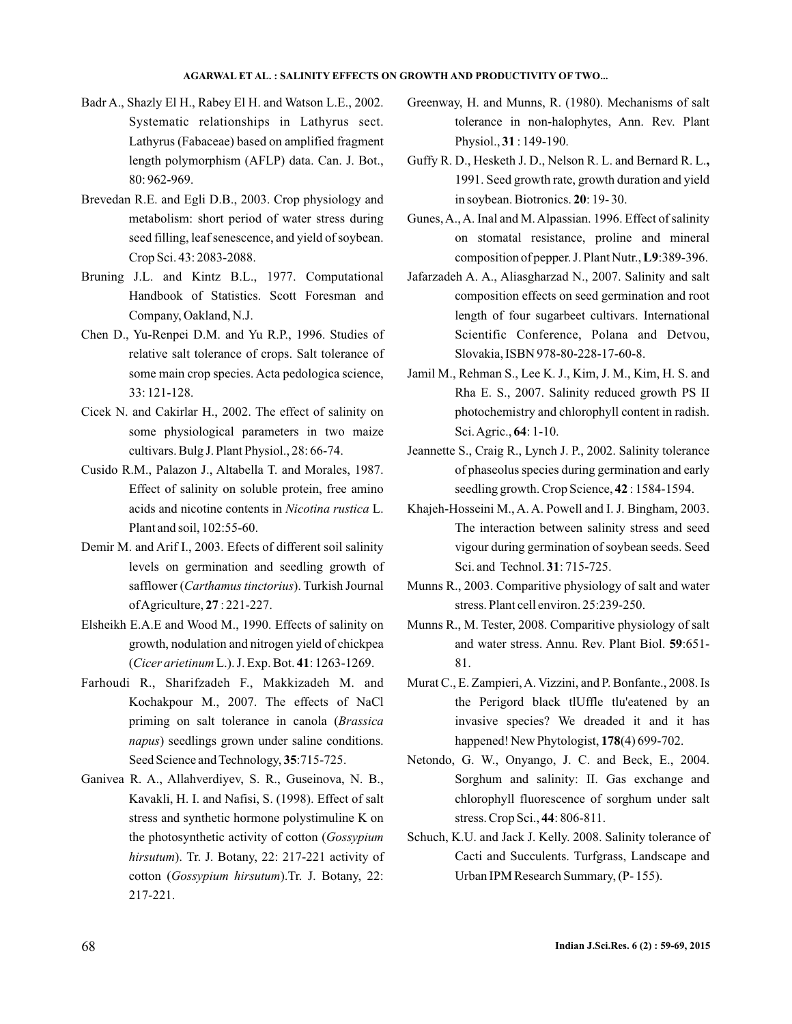### **AGARWAL ET AL. SALINITY EFFECTS ON GROWTH AND PRODUCTIVITY OF TWO... :**

- Badr A., Shazly El H., Rabey El H. and Watson L.E., 2002. Systematic relationships in Lathyrus sect. Lathyrus (Fabaceae) based on amplified fragment length polymorphism (AFLP) data. Can. J. Bot., 80: 962-969.
- Brevedan R.E. and Egli D.B., 2003. Crop physiology and metabolism: short period of water stress during seed filling, leaf senescence, and yield of soybean. Crop Sci. 43: 2083-2088.
- Bruning J.L. and Kintz B.L., 1977. Computational Handbook of Statistics. Scott Foresman and Company, Oakland, N.J.
- Chen D., Yu-Renpei D.M. and Yu R.P., 1996. Studies of relative salt tolerance of crops. Salt tolerance of some main crop species. Acta pedologica science, 33: 121-128.
- Cicek N. and Cakirlar H., 2002. The effect of salinity on some physiological parameters in two maize cultivars. Bulg J. Plant Physiol., 28: 66-74.
- Cusido R.M., Palazon J., Altabella T. and Morales, 1987. Effect of salinity on soluble protein, free amino acids and nicotine contents in Nicotina rustica L. Plant and soil, 102:55-60.
- Demir M. and Arif I., 2003. Efects of different soil salinity levels on germination and seedling growth of safflower (Carthamus tinctorius). Turkish Journal of Agriculture, 27: 221-227.
- Elsheikh E.A.E and Wood M., 1990. Effects of salinity on growth, nodulation and nitrogen yield of chickpea (Cicer arietinum L.). J. Exp. Bot. 41: 1263-1269.
- Farhoudi R., Sharifzadeh F., Makkizadeh M. and Kochakpour M., 2007. The effects of NaCl priming on salt tolerance in canola ( *Brassica* ) seedlings grown under saline conditions. *napus* Seed Science and Technology, 35:715-725.
- Ganivea R. A., Allahverdiyev, S. R., Guseinova, N. B., Kavakli, H. I. and Nafisi, S. (1998). Effect of salt stress and synthetic hormone polystimuline K on the photosynthetic activity of cotton ( *Gossypium* ). Tr. J. Botany, 22: 217-221 activity of *hirsutum* cotton (Gossypium hirsutum).Tr. J. Botany, 22: 217-221.
- Greenway, H. and Munns, R. (1980). Mechanisms of salt tolerance in non-halophytes, Ann. Rev. Plant Physiol., 31:149-190.
- Guffy R. D., Hesketh J. D., Nelson R. L. and Bernard R. L. **,** 1991. Seed growth rate, growth duration and yield in soybean. Biotronics. **20**: 19-30.
- Gunes,A.,A. Inal and M.Alpassian. 1996. Effect of salinity on stomatal resistance, proline and mineral composition of pepper. J. Plant Nutr., L9:389-396.
- Jafarzadeh A. A., Aliasgharzad N., 2007. Salinity and salt composition effects on seed germination and root length of four sugarbeet cultivars. International Scientific Conference, Polana and Detvou, Slovakia, ISBN 978-80-228-17-60-8.
- Jamil M., Rehman S., Lee K. J., Kim, J. M., Kim, H. S. and Rha E. S., 2007. Salinity reduced growth PS II photochemistry and chlorophyll content in radish. Sci. Agric., **64**: 1-10.
- Jeannette S., Craig R., Lynch J. P., 2002. Salinity tolerance of phaseolus species during germination and early seedling growth. Crop Science, 42: 1584-1594.
- Khajeh-Hosseini M., A. A. Powell and I. J. Bingham, 2003. The interaction between salinity stress and seed vigour during germination of soybean seeds. Seed Sci. and Technol. **31**: 715-725.
- Munns R., 2003. Comparitive physiology of salt and water stress. Plant cell environ. 25:239-250.
- Munns R., M. Tester, 2008. Comparitive physiology of salt and water stress. Annu. Rev. Plant Biol. 59:651-81.
- Murat C., E. Zampieri,A. Vizzini, and P. Bonfante., 2008. Is the Perigord black tlUffle tlu'eatened by an invasive species? We dreaded it and it has happened! New Phytologist, 178(4) 699-702.
- Netondo, G. W., Onyango, J. C. and Beck, E., 2004. Sorghum and salinity: II. Gas exchange and chlorophyll fluorescence of sorghum under salt stress. Crop Sci., 44: 806-811.
- Schuch, K.U. and Jack J. Kelly. 2008. Salinity tolerance of Cacti and Succulents. Turfgrass, Landscape and Urban IPM Research Summary, (P- 155).